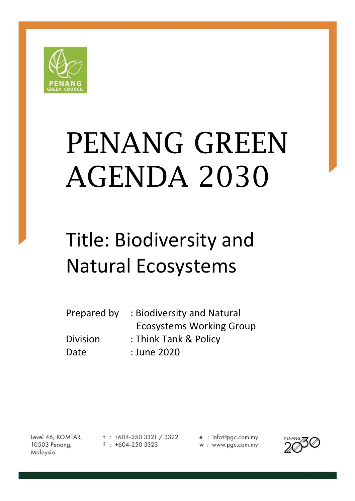

# PENANG GREEN AGENDA 2030

# Title: Biodiversity and Natural Ecosystems

| Prepared by | : Biodiversity and Natural      |
|-------------|---------------------------------|
|             | <b>Ecosystems Working Group</b> |
| Division    | : Think Tank & Policy           |
| Date        | : June 2020                     |

Level 46, KOMTAR, 10503 Penang, Malaysia

 $t$  : +604-250 3321 / 3322  $f : +604-2503323$ 

e : info@pgc.com.my w: www.pgc.com.my

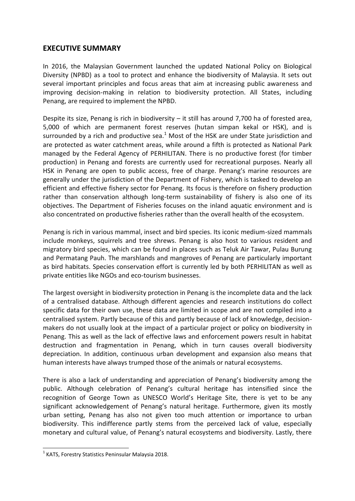# **EXECUTIVE SUMMARY**

In 2016, the Malaysian Government launched the updated National Policy on Biological Diversity (NPBD) as a tool to protect and enhance the biodiversity of Malaysia. It sets out several important principles and focus areas that aim at increasing public awareness and improving decision-making in relation to biodiversity protection. All States, including Penang, are required to implement the NPBD.

Despite its size, Penang is rich in biodiversity – it still has around 7,700 ha of forested area, 5,000 of which are permanent forest reserves (hutan simpan kekal or HSK), and is surrounded by a rich and productive sea. $1$  Most of the HSK are under State jurisdiction and are protected as water catchment areas, while around a fifth is protected as National Park managed by the Federal Agency of PERHILITAN. There is no productive forest (for timber production) in Penang and forests are currently used for recreational purposes. Nearly all HSK in Penang are open to public access, free of charge. Penang's marine resources are generally under the jurisdiction of the Department of Fishery, which is tasked to develop an efficient and effective fishery sector for Penang. Its focus is therefore on fishery production rather than conservation although long-term sustainability of fishery is also one of its objectives. The Department of Fisheries focuses on the inland aquatic environment and is also concentrated on productive fisheries rather than the overall health of the ecosystem.

Penang is rich in various mammal, insect and bird species. Its iconic medium-sized mammals include monkeys, squirrels and tree shrews. Penang is also host to various resident and migratory bird species, which can be found in places such as Teluk Air Tawar, Pulau Burung and Permatang Pauh. The marshlands and mangroves of Penang are particularly important as bird habitats. Species conservation effort is currently led by both PERHILITAN as well as private entities like NGOs and eco-tourism businesses.

The largest oversight in biodiversity protection in Penang is the incomplete data and the lack of a centralised database. Although different agencies and research institutions do collect specific data for their own use, these data are limited in scope and are not compiled into a centralised system. Partly because of this and partly because of lack of knowledge, decisionmakers do not usually look at the impact of a particular project or policy on biodiversity in Penang. This as well as the lack of effective laws and enforcement powers result in habitat destruction and fragmentation in Penang, which in turn causes overall biodiversity depreciation. In addition, continuous urban development and expansion also means that human interests have always trumped those of the animals or natural ecosystems.

There is also a lack of understanding and appreciation of Penang's biodiversity among the public. Although celebration of Penang's cultural heritage has intensified since the recognition of George Town as UNESCO World's Heritage Site, there is yet to be any significant acknowledgement of Penang's natural heritage. Furthermore, given its mostly urban setting, Penang has also not given too much attention or importance to urban biodiversity. This indifference partly stems from the perceived lack of value, especially monetary and cultural value, of Penang's natural ecosystems and biodiversity. Lastly, there

1

 $<sup>1</sup>$  KATS, Forestry Statistics Peninsular Malaysia 2018.</sup>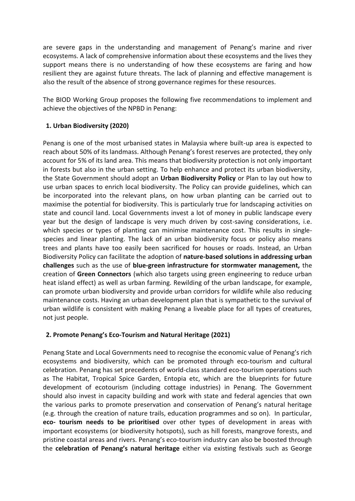are severe gaps in the understanding and management of Penang's marine and river ecosystems. A lack of comprehensive information about these ecosystems and the lives they support means there is no understanding of how these ecosystems are faring and how resilient they are against future threats. The lack of planning and effective management is also the result of the absence of strong governance regimes for these resources.

The BIOD Working Group proposes the following five recommendations to implement and achieve the objectives of the NPBD in Penang:

# **1. Urban Biodiversity (2020)**

Penang is one of the most urbanised states in Malaysia where built-up area is expected to reach about 50% of its landmass. Although Penang's forest reserves are protected, they only account for 5% of its land area. This means that biodiversity protection is not only important in forests but also in the urban setting. To help enhance and protect its urban biodiversity, the State Government should adopt an **Urban Biodiversity Policy** or Plan to lay out how to use urban spaces to enrich local biodiversity. The Policy can provide guidelines, which can be incorporated into the relevant plans, on how urban planting can be carried out to maximise the potential for biodiversity. This is particularly true for landscaping activities on state and council land. Local Governments invest a lot of money in public landscape every year but the design of landscape is very much driven by cost-saving considerations, i.e. which species or types of planting can minimise maintenance cost. This results in singlespecies and linear planting. The lack of an urban biodiversity focus or policy also means trees and plants have too easily been sacrificed for houses or roads. Instead, an Urban Biodiversity Policy can facilitate the adoption of **nature-based solutions in addressing urban challenges** such as the use of **blue-green infrastructure for stormwater management,** the creation of **Green Connectors** (which also targets using green engineering to reduce urban heat island effect) as well as urban farming. Rewilding of the urban landscape, for example, can promote urban biodiversity and provide urban corridors for wildlife while also reducing maintenance costs. Having an urban development plan that is sympathetic to the survival of urban wildlife is consistent with making Penang a liveable place for all types of creatures, not just people.

# **2. Promote Penang's Eco-Tourism and Natural Heritage (2021)**

Penang State and Local Governments need to recognise the economic value of Penang's rich ecosystems and biodiversity, which can be promoted through eco-tourism and cultural celebration. Penang has set precedents of world-class standard eco-tourism operations such as The Habitat, Tropical Spice Garden, Entopia etc, which are the blueprints for future development of ecotourism (including cottage industries) in Penang. The Government should also invest in capacity building and work with state and federal agencies that own the various parks to promote preservation and conservation of Penang's natural heritage (e.g. through the creation of nature trails, education programmes and so on). In particular, **eco- tourism needs to be prioritised** over other types of development in areas with important ecosystems (or biodiversity hotspots), such as hill forests, mangrove forests, and pristine coastal areas and rivers. Penang's eco-tourism industry can also be boosted through the **celebration of Penang's natural heritage** either via existing festivals such as George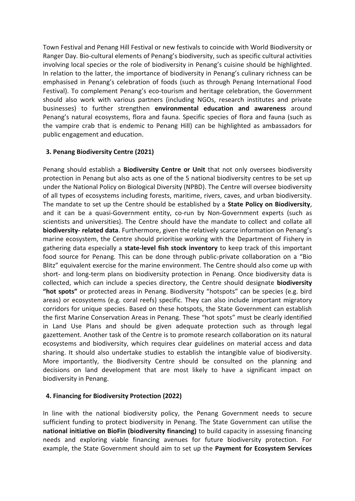Town Festival and Penang Hill Festival or new festivals to coincide with World Biodiversity or Ranger Day. Bio-cultural elements of Penang's biodiversity, such as specific cultural activities involving local species or the role of biodiversity in Penang's cuisine should be highlighted. In relation to the latter, the importance of biodiversity in Penang's culinary richness can be emphasised in Penang's celebration of foods (such as through Penang International Food Festival). To complement Penang's eco-tourism and heritage celebration, the Government should also work with various partners (including NGOs, research institutes and private businesses) to further strengthen **environmental education and awareness** around Penang's natural ecosystems, flora and fauna. Specific species of flora and fauna (such as the vampire crab that is endemic to Penang Hill) can be highlighted as ambassadors for public engagement and education.

# **3. Penang Biodiversity Centre (2021)**

Penang should establish a **Biodiversity Centre or Unit** that not only oversees biodiversity protection in Penang but also acts as one of the 5 national biodiversity centres to be set up under the National Policy on Biological Diversity (NPBD). The Centre will oversee biodiversity of all types of ecosystems including forests, maritime, rivers, caves, and urban biodiversity. The mandate to set up the Centre should be established by a **State Policy on Biodiversity**, and it can be a quasi-Government entity, co-run by Non-Government experts (such as scientists and universities). The Centre should have the mandate to collect and collate all **biodiversity- related data**. Furthermore, given the relatively scarce information on Penang's marine ecosystem, the Centre should prioritise working with the Department of Fishery in gathering data especially a **state-level fish stock inventory** to keep track of this important food source for Penang. This can be done through public-private collaboration on a "Bio Blitz" equivalent exercise for the marine environment. The Centre should also come up with short- and long-term plans on biodiversity protection in Penang. Once biodiversity data is collected, which can include a species directory, the Centre should designate **biodiversity "hot spots"** or protected areas in Penang. Biodiversity "hotspots" can be species (e.g. bird areas) or ecosystems (e.g. coral reefs) specific. They can also include important migratory corridors for unique species. Based on these hotspots, the State Government can establish the first Marine Conservation Areas in Penang. These "hot spots" must be clearly identified in Land Use Plans and should be given adequate protection such as through legal gazettement. Another task of the Centre is to promote research collaboration on its natural ecosystems and biodiversity, which requires clear guidelines on material access and data sharing. It should also undertake studies to establish the intangible value of biodiversity. More importantly, the Biodiversity Centre should be consulted on the planning and decisions on land development that are most likely to have a significant impact on biodiversity in Penang.

# **4. Financing for Biodiversity Protection (2022)**

In line with the national biodiversity policy, the Penang Government needs to secure sufficient funding to protect biodiversity in Penang. The State Government can utilise the **national initiative on BioFin (biodiversity financing)** to build capacity in assessing financing needs and exploring viable financing avenues for future biodiversity protection. For example, the State Government should aim to set up the **Payment for Ecosystem Services**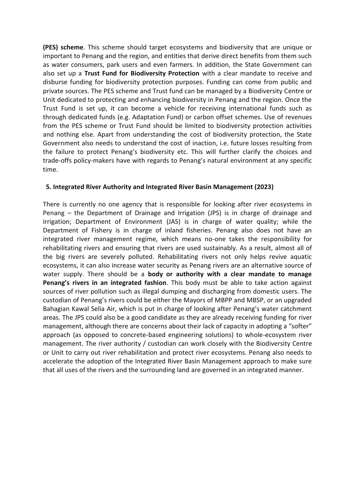**(PES) scheme**. This scheme should target ecosystems and biodiversity that are unique or important to Penang and the region, and entities that derive direct benefits from them such as water consumers, park users and even farmers. In addition, the State Government can also set up a **Trust Fund for Biodiversity Protection** with a clear mandate to receive and disburse funding for biodiversity protection purposes. Funding can come from public and private sources. The PES scheme and Trust fund can be managed by a Biodiversity Centre or Unit dedicated to protecting and enhancing biodiversity in Penang and the region. Once the Trust Fund is set up, it can become a vehicle for receiving international funds such as through dedicated funds (e.g. Adaptation Fund) or carbon offset schemes. Use of revenues from the PES scheme or Trust Fund should be limited to biodiversity protection activities and nothing else. Apart from understanding the cost of biodiversity protection, the State Government also needs to understand the cost of inaction, i.e. future losses resulting from the failure to protect Penang's biodiversity etc. This will further clarify the choices and trade-offs policy-makers have with regards to Penang's natural environment at any specific time.

#### **5. Integrated River Authority and Integrated River Basin Management (2023)**

There is currently no one agency that is responsible for looking after river ecosystems in Penang – the Department of Drainage and Irrigation (JPS) is in charge of drainage and irrigation; Department of Environment (JAS) is in charge of water quality; while the Department of Fishery is in charge of inland fisheries. Penang also does not have an integrated river management regime, which means no-one takes the responsibility for rehabilitating rivers and ensuring that rivers are used sustainably. As a result, almost all of the big rivers are severely polluted. Rehabilitating rivers not only helps revive aquatic ecosystems, it can also increase water security as Penang rivers are an alternative source of water supply. There should be a **body or authority with a clear mandate to manage Penang's rivers in an integrated fashion**. This body must be able to take action against sources of river pollution such as illegal dumping and discharging from domestic users. The custodian of Penang's rivers could be either the Mayors of MBPP and MBSP, or an upgraded Bahagian Kawal Selia Air, which is put in charge of looking after Penang's water catchment areas. The JPS could also be a good candidate as they are already receiving funding for river management, although there are concerns about their lack of capacity in adopting a "softer" approach (as opposed to concrete-based engineering solutions) to whole-ecosystem river management. The river authority / custodian can work closely with the Biodiversity Centre or Unit to carry out river rehabilitation and protect river ecosystems. Penang also needs to accelerate the adoption of the Integrated River Basin Management approach to make sure that all uses of the rivers and the surrounding land are governed in an integrated manner.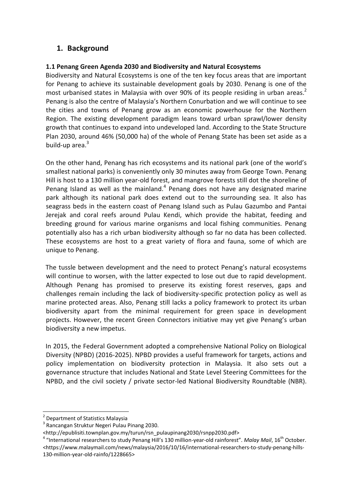# **1. Background**

# **1.1 Penang Green Agenda 2030 and Biodiversity and Natural Ecosystems**

Biodiversity and Natural Ecosystems is one of the ten key focus areas that are important for Penang to achieve its sustainable development goals by 2030. Penang is one of the most urbanised states in Malaysia with over 90% of its people residing in urban areas.<sup>2</sup> Penang is also the centre of Malaysia's Northern Conurbation and we will continue to see the cities and towns of Penang grow as an economic powerhouse for the Northern Region. The existing development paradigm leans toward urban sprawl/lower density growth that continues to expand into undeveloped land. According to the State Structure Plan 2030, around 46% (50,000 ha) of the whole of Penang State has been set aside as a build-up area. $3$ 

On the other hand, Penang has rich ecosystems and its national park (one of the world's smallest national parks) is conveniently only 30 minutes away from George Town. Penang Hill is host to a 130 million year-old forest, and mangrove forests still dot the shoreline of Penang Island as well as the mainland. $<sup>4</sup>$  Penang does not have any designated marine</sup> park although its national park does extend out to the surrounding sea. It also has seagrass beds in the eastern coast of Penang Island such as Pulau Gazumbo and Pantai Jerejak and coral reefs around Pulau Kendi, which provide the habitat, feeding and breeding ground for various marine organisms and local fishing communities. Penang potentially also has a rich urban biodiversity although so far no data has been collected. These ecosystems are host to a great variety of flora and fauna, some of which are unique to Penang.

The tussle between development and the need to protect Penang's natural ecosystems will continue to worsen, with the latter expected to lose out due to rapid development. Although Penang has promised to preserve its existing forest reserves, gaps and challenges remain including the lack of biodiversity-specific protection policy as well as marine protected areas. Also, Penang still lacks a policy framework to protect its urban biodiversity apart from the minimal requirement for green space in development projects. However, the recent Green Connectors initiative may yet give Penang's urban biodiversity a new impetus.

In 2015, the Federal Government adopted a comprehensive National Policy on Biological Diversity (NPBD) (2016-2025). NPBD provides a useful framework for targets, actions and policy implementation on biodiversity protection in Malaysia. It also sets out a governance structure that includes National and State Level Steering Committees for the NPBD, and the civil society / private sector-led National Biodiversity Roundtable (NBR).

**.** 

<sup>2</sup> Department of Statistics Malaysia

<sup>&</sup>lt;sup>3</sup> Rancangan Struktur Negeri Pulau Pinang 2030.

<sup>&</sup>lt;http://epublisiti.townplan.gov.my/turun/rsn\_pulaupinang2030/rsnpp2030.pdf>

<sup>&</sup>lt;sup>4</sup> "International researchers to study Penang Hill's 130 million-year-old rainforest". *Malay Mail*, 16<sup>th</sup> October. <https://www.malaymail.com/news/malaysia/2016/10/16/international-researchers-to-study-penang-hills-130-million-year-old-rainfo/1228665>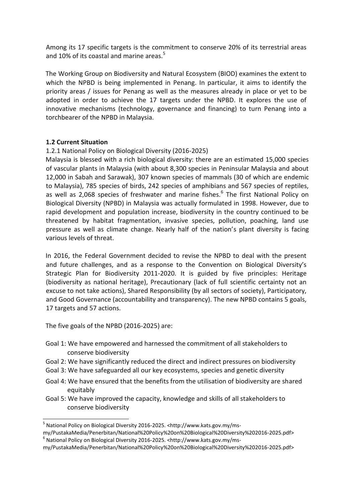Among its 17 specific targets is the commitment to conserve 20% of its terrestrial areas and 10% of its coastal and marine areas. $5$ 

The Working Group on Biodiversity and Natural Ecosystem (BIOD) examines the extent to which the NPBD is being implemented in Penang. In particular, it aims to identify the priority areas / issues for Penang as well as the measures already in place or yet to be adopted in order to achieve the 17 targets under the NPBD. It explores the use of innovative mechanisms (technology, governance and financing) to turn Penang into a torchbearer of the NPBD in Malaysia.

# **1.2 Current Situation**

#### 1.2.1 National Policy on Biological Diversity (2016-2025)

Malaysia is blessed with a rich biological diversity: there are an estimated 15,000 species of vascular plants in Malaysia (with about 8,300 species in Peninsular Malaysia and about 12,000 in Sabah and Sarawak), 307 known species of mammals (30 of which are endemic to Malaysia), 785 species of birds, 242 species of amphibians and 567 species of reptiles, as well as 2,068 species of freshwater and marine fishes.<sup>6</sup> The first National Policy on Biological Diversity (NPBD) in Malaysia was actually formulated in 1998. However, due to rapid development and population increase, biodiversity in the country continued to be threatened by habitat fragmentation, invasive species, pollution, poaching, land use pressure as well as climate change. Nearly half of the nation's plant diversity is facing various levels of threat.

In 2016, the Federal Government decided to revise the NPBD to deal with the present and future challenges, and as a response to the Convention on Biological Diversity's Strategic Plan for Biodiversity 2011-2020. It is guided by five principles: Heritage (biodiversity as national heritage), Precautionary (lack of full scientific certainty not an excuse to not take actions), Shared Responsibility (by all sectors of society), Participatory, and Good Governance (accountability and transparency). The new NPBD contains 5 goals, 17 targets and 57 actions.

The five goals of the NPBD (2016-2025) are:

**.** 

- Goal 1: We have empowered and harnessed the commitment of all stakeholders to conserve biodiversity
- Goal 2: We have significantly reduced the direct and indirect pressures on biodiversity
- Goal 3: We have safeguarded all our key ecosystems, species and genetic diversity
- Goal 4: We have ensured that the benefits from the utilisation of biodiversity are shared equitably
- Goal 5: We have improved the capacity, knowledge and skills of all stakeholders to conserve biodiversity

my/PustakaMedia/Penerbitan/National%20Policy%20on%20Biological%20Diversity%202016-2025.pdf>

<sup>&</sup>lt;sup>5</sup> National Policy on Biological Diversity 2016-2025. <http://www.kats.gov.my/ms-

my/PustakaMedia/Penerbitan/National%20Policy%20on%20Biological%20Diversity%202016-2025.pdf> 6 National Policy on Biological Diversity 2016-2025. <http://www.kats.gov.my/ms-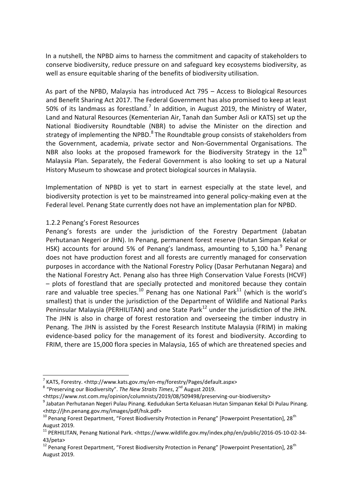In a nutshell, the NPBD aims to harness the commitment and capacity of stakeholders to conserve biodiversity, reduce pressure on and safeguard key ecosystems biodiversity, as well as ensure equitable sharing of the benefits of biodiversity utilisation.

As part of the NPBD, Malaysia has introduced Act 795 – Access to Biological Resources and Benefit Sharing Act 2017. The Federal Government has also promised to keep at least 50% of its landmass as forestland.<sup>7</sup> In addition, in August 2019, the Ministry of Water, Land and Natural Resources (Kementerian Air, Tanah dan Sumber Asli or KATS) set up the National Biodiversity Roundtable (NBR) to advise the Minister on the direction and strategy of implementing the NPBD.<sup>8</sup> The Roundtable group consists of stakeholders from the Government, academia, private sector and Non-Governmental Organisations. The NBR also looks at the proposed framework for the Biodiversity Strategy in the  $12<sup>th</sup>$ Malaysia Plan. Separately, the Federal Government is also looking to set up a Natural History Museum to showcase and protect biological sources in Malaysia.

Implementation of NPBD is yet to start in earnest especially at the state level, and biodiversity protection is yet to be mainstreamed into general policy-making even at the Federal level. Penang State currently does not have an implementation plan for NPBD.

# 1.2.2 Penang's Forest Resources

**.** 

Penang's forests are under the jurisdiction of the Forestry Department (Jabatan Perhutanan Negeri or JHN). In Penang, permanent forest reserve (Hutan Simpan Kekal or HSK) accounts for around 5% of Penang's landmass, amounting to 5,100 ha.<sup>9</sup> Penang does not have production forest and all forests are currently managed for conservation purposes in accordance with the National Forestry Policy (Dasar Perhutanan Negara) and the National Forestry Act. Penang also has three High Conservation Value Forests (HCVF) – plots of forestland that are specially protected and monitored because they contain rare and valuable tree species.<sup>10</sup> Penang has one National Park<sup>11</sup> (which is the world's smallest) that is under the jurisdiction of the Department of Wildlife and National Parks Peninsular Malaysia (PERHILITAN) and one State Park $^{12}$  under the jurisdiction of the JHN. The JHN is also in charge of forest restoration and overseeing the timber industry in Penang. The JHN is assisted by the Forest Research Institute Malaysia (FRIM) in making evidence-based policy for the management of its forest and biodiversity. According to FRIM, there are 15,000 flora species in Malaysia, 165 of which are threatened species and

<sup>&</sup>lt;sup>7</sup> KATS, Forestry. <http://www.kats.gov.my/en-my/forestry/Pages/default.aspx>

<sup>&</sup>lt;sup>8</sup> "Preserving our Biodiversity". The New Straits Times, 2<sup>nd</sup> August 2019.

<sup>&</sup>lt;https:/[/www.nst.com.my/opinion/columnists/2019/08/509498/preserving-our-biodiversity>](http://www.nst.com.my/opinion/columnists/2019/08/509498/preserving-our-biodiversity)

<sup>&</sup>lt;sup>9</sup> Jabatan Perhutanan Negeri Pulau Pinang. Kedudukan Serta Keluasan Hutan Simpanan Kekal Di Pulau Pinang. <http://jhn.penang.gov.my/images/pdf/hsk.pdf>

 $^{10}$  Penang Forest Department, "Forest Biodiversity Protection in Penang" [Powerpoint Presentation], 28<sup>th</sup> August 2019.

<sup>11</sup> PERHILITAN, Penang National Park. <https://www.wildlife.gov.my/index.php/en/public/2016-05-10-02-34- 43/peta>

 $12$  Penang Forest Department, "Forest Biodiversity Protection in Penang" [Powerpoint Presentation], 28<sup>th</sup> August 2019.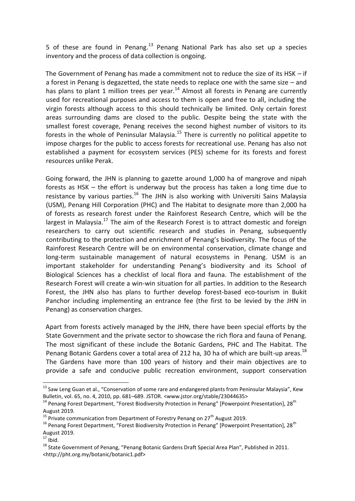5 of these are found in Penang.<sup>13</sup> Penang National Park has also set up a species inventory and the process of data collection is ongoing.

The Government of Penang has made a commitment not to reduce the size of its HSK – if a forest in Penang is degazetted, the state needs to replace one with the same size – and has plans to plant 1 million trees per year.<sup>14</sup> Almost all forests in Penang are currently used for recreational purposes and access to them is open and free to all, including the virgin forests although access to this should technically be limited. Only certain forest areas surrounding dams are closed to the public. Despite being the state with the smallest forest coverage, Penang receives the second highest number of visitors to its forests in the whole of Peninsular Malaysia.<sup>15</sup> There is currently no political appetite to impose charges for the public to access forests for recreational use. Penang has also not established a payment for ecosystem services (PES) scheme for its forests and forest resources unlike Perak.

Going forward, the JHN is planning to gazette around 1,000 ha of mangrove and nipah forests as HSK – the effort is underway but the process has taken a long time due to resistance by various parties. $16$  The JHN is also working with Universiti Sains Malaysia (USM), Penang Hill Corporation (PHC) and The Habitat to designate more than 2,000 ha of forests as research forest under the Rainforest Research Centre, which will be the largest in Malaysia.<sup>17</sup> The aim of the Research Forest is to attract domestic and foreign researchers to carry out scientific research and studies in Penang, subsequently contributing to the protection and enrichment of Penang's biodiversity. The focus of the Rainforest Research Centre will be on environmental conservation, climate change and long-term sustainable management of natural ecosystems in Penang. USM is an important stakeholder for understanding Penang's biodiversity and its School of Biological Sciences has a checklist of local flora and fauna. The establishment of the Research Forest will create a win-win situation for all parties. In addition to the Research Forest, the JHN also has plans to further develop forest-based eco-tourism in Bukit Panchor including implementing an entrance fee (the first to be levied by the JHN in Penang) as conservation charges.

Apart from forests actively managed by the JHN, there have been special efforts by the State Government and the private sector to showcase the rich flora and fauna of Penang. The most significant of these include the Botanic Gardens, PHC and The Habitat. The Penang Botanic Gardens cover a total area of 212 ha, 30 ha of which are built-up areas.<sup>18</sup> The Gardens have more than 100 years of history and their main objectives are to provide a safe and conducive public recreation environment, support conservation

1

<sup>&</sup>lt;sup>13</sup> Saw Leng Guan et al., "Conservation of some rare and endangered plants from Peninsular Malaysia", Kew Bulletin, vol. 65, no. 4, 2010, pp. 681–689. JSTOR. <www.jstor.org/stable/23044635>

 $14$  Penang Forest Department, "Forest Biodiversity Protection in Penang" [Powerpoint Presentation], 28<sup>th</sup> August 2019.

 $^{15}$  Private communication from Department of Forestry Penang on 27<sup>th</sup> August 2019.

<sup>&</sup>lt;sup>16</sup> Penang Forest Department, "Forest Biodiversity Protection in Penang" [Powerpoint Presentation], 28<sup>th</sup> August 2019.

 $17$  Ibid.

<sup>18</sup> State Government of Penang, "Penang Botanic Gardens Draft Special Area Plan", Published in 2011. <http://pht.org.my/botanic/botanic1.pdf>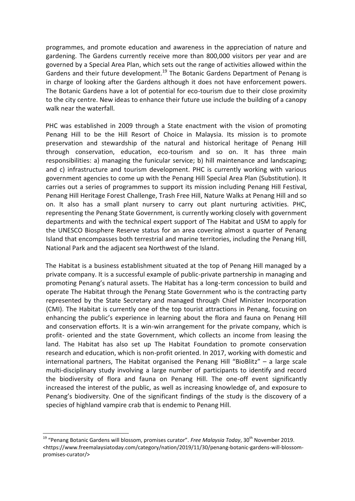programmes, and promote education and awareness in the appreciation of nature and gardening. The Gardens currently receive more than 800,000 visitors per year and are governed by a Special Area Plan, which sets out the range of activities allowed within the Gardens and their future development.<sup>19</sup> The Botanic Gardens Department of Penang is in charge of looking after the Gardens although it does not have enforcement powers. The Botanic Gardens have a lot of potential for eco-tourism due to their close proximity to the city centre. New ideas to enhance their future use include the building of a canopy walk near the waterfall.

PHC was established in 2009 through a State enactment with the vision of promoting Penang Hill to be the Hill Resort of Choice in Malaysia. Its mission is to promote preservation and stewardship of the natural and historical heritage of Penang Hill through conservation, education, eco-tourism and so on. It has three main responsibilities: a) managing the funicular service; b) hill maintenance and landscaping; and c) infrastructure and tourism development. PHC is currently working with various government agencies to come up with the Penang Hill Special Area Plan (Substitution). It carries out a series of programmes to support its mission including Penang Hill Festival, Penang Hill Heritage Forest Challenge, Trash Free Hill, Nature Walks at Penang Hill and so on. It also has a small plant nursery to carry out plant nurturing activities. PHC, representing the Penang State Government, is currently working closely with government departments and with the technical expert support of The Habitat and USM to apply for the UNESCO Biosphere Reserve status for an area covering almost a quarter of Penang Island that encompasses both terrestrial and marine territories, including the Penang Hill, National Park and the adjacent sea Northwest of the Island.

The Habitat is a business establishment situated at the top of Penang Hill managed by a private company. It is a successful example of public-private partnership in managing and promoting Penang's natural assets. The Habitat has a long-term concession to build and operate The Habitat through the Penang State Government who is the contracting party represented by the State Secretary and managed through Chief Minister Incorporation (CMI). The Habitat is currently one of the top tourist attractions in Penang, focusing on enhancing the public's experience in learning about the flora and fauna on Penang Hill and conservation efforts. It is a win-win arrangement for the private company, which is profit- oriented and the state Government, which collects an income from leasing the land. The Habitat has also set up The Habitat Foundation to promote conservation research and education, which is non-profit oriented. In 2017, working with domestic and international partners, The Habitat organised the Penang Hill "BioBlitz" – a large scale multi-disciplinary study involving a large number of participants to identify and record the biodiversity of flora and fauna on Penang Hill. The one-off event significantly increased the interest of the public, as well as increasing knowledge of, and exposure to Penang's biodiversity. One of the significant findings of the study is the discovery of a species of highland vampire crab that is endemic to Penang Hill.

1

<sup>&</sup>lt;sup>19</sup> "Penang Botanic Gardens will blossom, promises curator". *Free Malaysia Today*, 30<sup>th</sup> November 2019. <https://www.freemalaysiatoday.com/category/nation/2019/11/30/penang-botanic-gardens-will-blossompromises-curator/>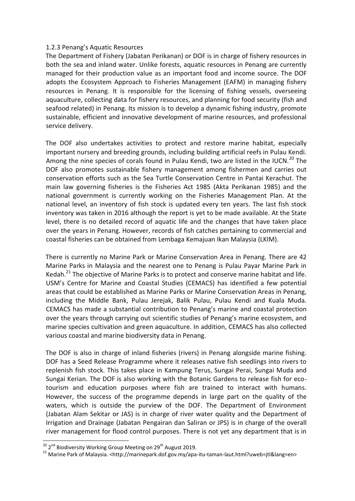# 1.2.3 Penang's Aquatic Resources

The Department of Fishery (Jabatan Perikanan) or DOF is in charge of fishery resources in both the sea and inland water. Unlike forests, aquatic resources in Penang are currently managed for their production value as an important food and income source. The DOF adopts the Ecosystem Approach to Fisheries Management (EAFM) in managing fishery resources in Penang. It is responsible for the licensing of fishing vessels, overseeing aquaculture, collecting data for fishery resources, and planning for food security (fish and seafood related) in Penang. Its mission is to develop a dynamic fishing industry, promote sustainable, efficient and innovative development of marine resources, and professional service delivery.

The DOF also undertakes activities to protect and restore marine habitat, especially important nursery and breeding grounds, including building artificial reefs in Pulau Kendi. Among the nine species of corals found in Pulau Kendi, two are listed in the IUCN.<sup>20</sup> The DOF also promotes sustainable fishery management among fishermen and carries out conservation efforts such as the Sea Turtle Conservation Centre in Pantai Kerachut. The main law governing fisheries is the Fisheries Act 1985 (Akta Perikanan 1985) and the national government is currently working on the Fisheries Management Plan. At the national level, an inventory of fish stock is updated every ten years. The last fish stock inventory was taken in 2016 although the report is yet to be made available. At the State level, there is no detailed record of aquatic life and the changes that have taken place over the years in Penang. However, records of fish catches pertaining to commercial and coastal fisheries can be obtained from Lembaga Kemajuan Ikan Malaysia (LKIM).

There is currently no Marine Park or Marine Conservation Area in Penang. There are 42 Marine Parks in Malaysia and the nearest one to Penang is Pulau Payar Marine Park in Kedah.<sup>21</sup> The objective of Marine Parks is to protect and conserve marine habitat and life. USM's Centre for Marine and Coastal Studies (CEMACS) has identified a few potential areas that could be established as Marine Parks or Marine Conservation Areas in Penang, including the Middle Bank, Pulau Jerejak, Balik Pulau, Pulau Kendi and Kuala Muda. CEMACS has made a substantial contribution to Penang's marine and coastal protection over the years through carrying out scientific studies of Penang's marine ecosystem, and marine species cultivation and green aquaculture. In addition, CEMACS has also collected various coastal and marine biodiversity data in Penang.

The DOF is also in charge of inland fisheries (rivers) in Penang alongside marine fishing. DOF has a Seed Release Programme where it releases native fish seedlings into rivers to replenish fish stock. This takes place in Kampung Terus, Sungai Perai, Sungai Muda and Sungai Kerian. The DOF is also working with the Botanic Gardens to release fish for ecotourism and education purposes where fish are trained to interact with humans. However, the success of the programme depends in large part on the quality of the waters, which is outside the purview of the DOF. The Department of Environment (Jabatan Alam Sekitar or JAS) is in charge of river water quality and the Department of Irrigation and Drainage (Jabatan Pengairan dan Saliran or JPS) is in charge of the overall river management for flood control purposes. There is not yet any department that is in

**.** 

<sup>&</sup>lt;sup>20</sup> 2<sup>nd</sup> Biodiversity Working Group Meeting on 29<sup>th</sup> August 2019.

<sup>21</sup> Marine Park of Malaysia. <http://marinepark.dof.gov.my/apa-itu-taman-laut.html?uweb=jtl&lang=en>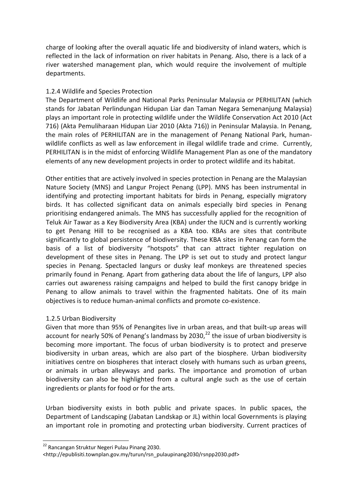charge of looking after the overall aquatic life and biodiversity of inland waters, which is reflected in the lack of information on river habitats in Penang. Also, there is a lack of a river watershed management plan, which would require the involvement of multiple departments.

# 1.2.4 Wildlife and Species Protection

The Department of Wildlife and National Parks Peninsular Malaysia or PERHILITAN (which stands for Jabatan Perlindungan Hidupan Liar dan Taman Negara Semenanjung Malaysia) plays an important role in protecting wildlife under the Wildlife Conservation Act 2010 (Act 716) (Akta Pemuliharaan Hidupan Liar 2010 (Akta 716)) in Peninsular Malaysia. In Penang, the main roles of PERHILITAN are in the management of Penang National Park, humanwildlife conflicts as well as law enforcement in illegal wildlife trade and crime. Currently, PERHILITAN is in the midst of enforcing Wildlife Management Plan as one of the mandatory elements of any new development projects in order to protect wildlife and its habitat.

Other entities that are actively involved in species protection in Penang are the Malaysian Nature Society (MNS) and Langur Project Penang (LPP). MNS has been instrumental in identifying and protecting important habitats for birds in Penang, especially migratory birds. It has collected significant data on animals especially bird species in Penang prioritising endangered animals. The MNS has successfully applied for the recognition of Teluk Air Tawar as a Key Biodiversity Area (KBA) under the IUCN and is currently working to get Penang Hill to be recognised as a KBA too. KBAs are sites that contribute significantly to global persistence of biodiversity. These KBA sites in Penang can form the basis of a list of biodiversity "hotspots" that can attract tighter regulation on development of these sites in Penang. The LPP is set out to study and protect langur species in Penang. Spectacled langurs or dusky leaf monkeys are threatened species primarily found in Penang. Apart from gathering data about the life of langurs, LPP also carries out awareness raising campaigns and helped to build the first canopy bridge in Penang to allow animals to travel within the fragmented habitats. One of its main objectives is to reduce human-animal conflicts and promote co-existence.

#### 1.2.5 Urban Biodiversity

Given that more than 95% of Penangites live in urban areas, and that built-up areas will account for nearly 50% of Penang's landmass by 2030, $^{22}$  the issue of urban biodiversity is becoming more important. The focus of urban biodiversity is to protect and preserve biodiversity in urban areas, which are also part of the biosphere. Urban biodiversity initiatives centre on biospheres that interact closely with humans such as urban greens, or animals in urban alleyways and parks. The importance and promotion of urban biodiversity can also be highlighted from a cultural angle such as the use of certain ingredients or plants for food or for the arts.

Urban biodiversity exists in both public and private spaces. In public spaces, the Department of Landscaping (Jabatan Landskap or JL) within local Governments is playing an important role in promoting and protecting urban biodiversity. Current practices of

**.** 

<sup>&</sup>lt;sup>22</sup> Rancangan Struktur Negeri Pulau Pinang 2030.

<sup>&</sup>lt;http://epublisiti.townplan.gov.my/turun/rsn\_pulaupinang2030/rsnpp2030.pdf>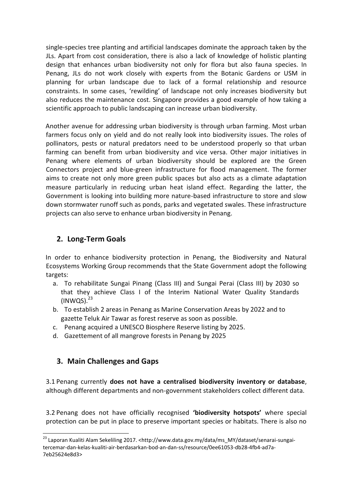single-species tree planting and artificial landscapes dominate the approach taken by the JLs. Apart from cost consideration, there is also a lack of knowledge of holistic planting design that enhances urban biodiversity not only for flora but also fauna species. In Penang, JLs do not work closely with experts from the Botanic Gardens or USM in planning for urban landscape due to lack of a formal relationship and resource constraints. In some cases, 'rewilding' of landscape not only increases biodiversity but also reduces the maintenance cost. Singapore provides a good example of how taking a scientific approach to public landscaping can increase urban biodiversity.

Another avenue for addressing urban biodiversity is through urban farming. Most urban farmers focus only on yield and do not really look into biodiversity issues. The roles of pollinators, pests or natural predators need to be understood properly so that urban farming can benefit from urban biodiversity and vice versa. Other major initiatives in Penang where elements of urban biodiversity should be explored are the Green Connectors project and blue-green infrastructure for flood management. The former aims to create not only more green public spaces but also acts as a climate adaptation measure particularly in reducing urban heat island effect. Regarding the latter, the Government is looking into building more nature-based infrastructure to store and slow down stormwater runoff such as ponds, parks and vegetated swales. These infrastructure projects can also serve to enhance urban biodiversity in Penang.

# **2. Long-Term Goals**

In order to enhance biodiversity protection in Penang, the Biodiversity and Natural Ecosystems Working Group recommends that the State Government adopt the following targets:

- a. To rehabilitate Sungai Pinang (Class III) and Sungai Perai (Class III) by 2030 so that they achieve Class I of the Interim National Water Quality Standards  $(INWQS).<sup>23</sup>$
- b. To establish 2 areas in Penang as Marine Conservation Areas by 2022 and to gazette Teluk Air Tawar as forest reserve as soon as possible.
- c. Penang acquired a UNESCO Biosphere Reserve listing by 2025.
- d. Gazettement of all mangrove forests in Penang by 2025

# **3. Main Challenges and Gaps**

1

3.1 Penang currently **does not have a centralised biodiversity inventory or database**, although different departments and non-government stakeholders collect different data.

3.2 Penang does not have officially recognised **'biodiversity hotspots'** where special protection can be put in place to preserve important species or habitats. There is also no

<sup>&</sup>lt;sup>23</sup> Laporan Kualiti Alam Sekeliling 2017. <http://www.data.gov.my/data/ms\_MY/dataset/senarai-sungaitercemar-dan-kelas-kualiti-air-berdasarkan-bod-an-dan-ss/resource/0ee61053-db28-4fb4-ad7a-7eb25624e8d3>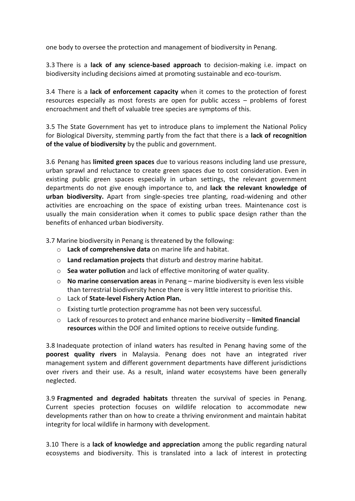one body to oversee the protection and management of biodiversity in Penang.

3.3 There is a **lack of any science-based approach** to decision-making i.e. impact on biodiversity including decisions aimed at promoting sustainable and eco-tourism.

3.4 There is a **lack of enforcement capacity** when it comes to the protection of forest resources especially as most forests are open for public access – problems of forest encroachment and theft of valuable tree species are symptoms of this.

3.5 The State Government has yet to introduce plans to implement the National Policy for Biological Diversity, stemming partly from the fact that there is a **lack of recognition of the value of biodiversity** by the public and government.

3.6 Penang has **limited green spaces** due to various reasons including land use pressure, urban sprawl and reluctance to create green spaces due to cost consideration. Even in existing public green spaces especially in urban settings, the relevant government departments do not give enough importance to, and **lack the relevant knowledge of urban biodiversity.** Apart from single-species tree planting, road-widening and other activities are encroaching on the space of existing urban trees. Maintenance cost is usually the main consideration when it comes to public space design rather than the benefits of enhanced urban biodiversity.

3.7 Marine biodiversity in Penang is threatened by the following:

- o **Lack of comprehensive data** on marine life and habitat.
- o **Land reclamation projects** that disturb and destroy marine habitat.
- o **Sea water pollution** and lack of effective monitoring of water quality.
- o **No marine conservation areas** in Penang marine biodiversity is even less visible than terrestrial biodiversity hence there is very little interest to prioritise this.
- o Lack of **State-level Fishery Action Plan.**
- o Existing turtle protection programme has not been very successful.
- o Lack of resources to protect and enhance marine biodiversity **limited financial resources** within the DOF and limited options to receive outside funding.

3.8 Inadequate protection of inland waters has resulted in Penang having some of the **poorest quality rivers** in Malaysia. Penang does not have an integrated river management system and different government departments have different jurisdictions over rivers and their use. As a result, inland water ecosystems have been generally neglected.

3.9 **Fragmented and degraded habitats** threaten the survival of species in Penang. Current species protection focuses on wildlife relocation to accommodate new developments rather than on how to create a thriving environment and maintain habitat integrity for local wildlife in harmony with development.

3.10 There is a **lack of knowledge and appreciation** among the public regarding natural ecosystems and biodiversity. This is translated into a lack of interest in protecting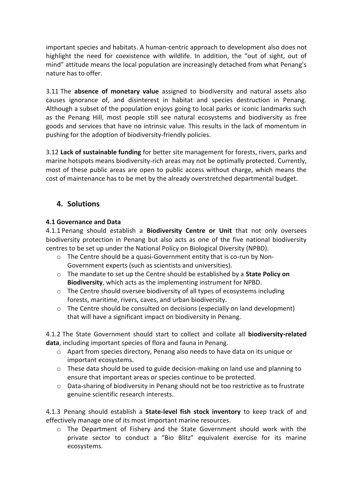important species and habitats. A human-centric approach to development also does not highlight the need for coexistence with wildlife. In addition, the "out of sight, out of mind" attitude means the local population are increasingly detached from what Penang's nature has to offer.

3.11 The **absence of monetary value** assigned to biodiversity and natural assets also causes ignorance of, and disinterest in habitat and species destruction in Penang. Although a subset of the population enjoys going to local parks or iconic landmarks such as the Penang Hill, most people still see natural ecosystems and biodiversity as free goods and services that have no intrinsic value. This results in the lack of momentum in pushing for the adoption of biodiversity-friendly policies.

3.12 **Lack of sustainable funding** for better site management for forests, rivers, parks and marine hotspots means biodiversity-rich areas may not be optimally protected. Currently, most of these public areas are open to public access without charge, which means the cost of maintenance has to be met by the already overstretched departmental budget.

# **4. Solutions**

# **4.1 Governance and Data**

4.1.1 Penang should establish a **Biodiversity Centre or Unit** that not only oversees biodiversity protection in Penang but also acts as one of the five national biodiversity centres to be set up under the National Policy on Biological Diversity (NPBD).

- $\circ$  The Centre should be a quasi-Government entity that is co-run by Non-Government experts (such as scientists and universities).
- o The mandate to set up the Centre should be established by a **State Policy on Biodiversity**, which acts as the implementing instrument for NPBD.
- $\circ$  The Centre should oversee biodiversity of all types of ecosystems including forests, maritime, rivers, caves, and urban biodiversity.
- $\circ$  The Centre should be consulted on decisions (especially on land development) that will have a significant impact on biodiversity in Penang.

4.1.2 The State Government should start to collect and collate all **biodiversity-related data**, including important species of flora and fauna in Penang.

- o Apart from species directory, Penang also needs to have data on its unique or important ecosystems.
- $\circ$  These data should be used to guide decision-making on land use and planning to ensure that important areas or species continue to be protected.
- o Data-sharing of biodiversity in Penang should not be too restrictive as to frustrate genuine scientific research interests.

4.1.3 Penang should establish a **State-level fish stock inventory** to keep track of and effectively manage one of its most important marine resources.

 $\circ$  The Department of Fishery and the State Government should work with the private sector to conduct a "Bio Blitz" equivalent exercise for its marine ecosystems.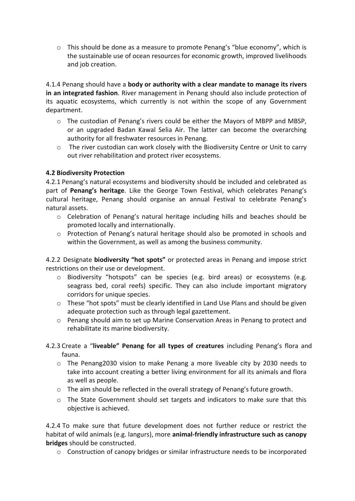$\circ$  This should be done as a measure to promote Penang's "blue economy", which is the sustainable use of ocean resources for economic growth, improved livelihoods and job creation.

4.1.4 Penang should have a **body or authority with a clear mandate to manage its rivers in an integrated fashion**. River management in Penang should also include protection of its aquatic ecosystems, which currently is not within the scope of any Government department.

- $\circ$  The custodian of Penang's rivers could be either the Mayors of MBPP and MBSP, or an upgraded Badan Kawal Selia Air. The latter can become the overarching authority for all freshwater resources in Penang.
- o The river custodian can work closely with the Biodiversity Centre or Unit to carry out river rehabilitation and protect river ecosystems.

# **4.2 Biodiversity Protection**

4.2.1 Penang's natural ecosystems and biodiversity should be included and celebrated as part of **Penang's heritage**. Like the George Town Festival, which celebrates Penang's cultural heritage, Penang should organise an annual Festival to celebrate Penang's natural assets.

- o Celebration of Penang's natural heritage including hills and beaches should be promoted locally and internationally.
- o Protection of Penang's natural heritage should also be promoted in schools and within the Government, as well as among the business community.

4.2.2 Designate **biodiversity "hot spots"** or protected areas in Penang and impose strict restrictions on their use or development.

- o Biodiversity "hotspots" can be species (e.g. bird areas) or ecosystems (e.g. seagrass bed, coral reefs) specific. They can also include important migratory corridors for unique species.
- $\circ$  These "hot spots" must be clearly identified in Land Use Plans and should be given adequate protection such as through legal gazettement.
- o Penang should aim to set up Marine Conservation Areas in Penang to protect and rehabilitate its marine biodiversity.
- 4.2.3 Create a "**liveable" Penang for all types of creatures** including Penang's flora and fauna.
	- o The Penang2030 vision to make Penang a more liveable city by 2030 needs to take into account creating a better living environment for all its animals and flora as well as people.
	- o The aim should be reflected in the overall strategy of Penang's future growth.
	- o The State Government should set targets and indicators to make sure that this objective is achieved.

4.2.4 To make sure that future development does not further reduce or restrict the habitat of wild animals (e.g. langurs), more **animal-friendly infrastructure such as canopy bridges** should be constructed.

o Construction of canopy bridges or similar infrastructure needs to be incorporated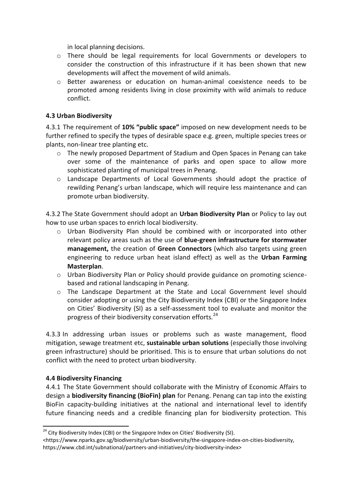in local planning decisions.

- o There should be legal requirements for local Governments or developers to consider the construction of this infrastructure if it has been shown that new developments will affect the movement of wild animals.
- o Better awareness or education on human-animal coexistence needs to be promoted among residents living in close proximity with wild animals to reduce conflict.

# **4.3 Urban Biodiversity**

4.3.1 The requirement of **10% "public space"** imposed on new development needs to be further refined to specify the types of desirable space e.g. green, multiple species trees or plants, non-linear tree planting etc.

- o The newly proposed Department of Stadium and Open Spaces in Penang can take over some of the maintenance of parks and open space to allow more sophisticated planting of municipal trees in Penang.
- o Landscape Departments of Local Governments should adopt the practice of rewilding Penang's urban landscape, which will require less maintenance and can promote urban biodiversity.

4.3.2 The State Government should adopt an **Urban Biodiversity Plan** or Policy to lay out how to use urban spaces to enrich local biodiversity.

- $\circ$  Urban Biodiversity Plan should be combined with or incorporated into other relevant policy areas such as the use of **blue-green infrastructure for stormwater management,** the creation of **Green Connectors** (which also targets using green engineering to reduce urban heat island effect) as well as the **Urban Farming Masterplan**.
- o Urban Biodiversity Plan or Policy should provide guidance on promoting sciencebased and rational landscaping in Penang.
- o The Landscape Department at the State and Local Government level should consider adopting or using the City Biodiversity Index (CBI) or the Singapore Index on Cities' Biodiversity (SI) as a self-assessment tool to evaluate and monitor the progress of their biodiversity conservation efforts.<sup>24</sup>

4.3.3 In addressing urban issues or problems such as waste management, flood mitigation, sewage treatment etc, **sustainable urban solutions** (especially those involving green infrastructure) should be prioritised. This is to ensure that urban solutions do not conflict with the need to protect urban biodiversity.

# **4.4 Biodiversity Financing**

**.** 

4.4.1 The State Government should collaborate with the Ministry of Economic Affairs to design a **biodiversity financing (BioFin) plan** for Penang. Penang can tap into the existing BioFin capacity-building initiatives at the national and international level to identify future financing needs and a credible financing plan for biodiversity protection. This

 $24$  City Biodiversity Index (CBI) or the Singapore Index on Cities' Biodiversity (SI).

<sup>&</sup>lt;https://www.nparks.gov.sg/biodiversity/urban-biodiversity/the-singapore-index-on-cities-biodiversity, https://www.cbd.int/subnational/partners-and-initiatives/city-biodiversity-index>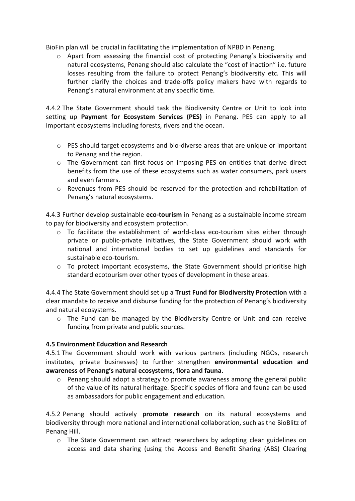BioFin plan will be crucial in facilitating the implementation of NPBD in Penang.

o Apart from assessing the financial cost of protecting Penang's biodiversity and natural ecosystems, Penang should also calculate the "cost of inaction" i.e. future losses resulting from the failure to protect Penang's biodiversity etc. This will further clarify the choices and trade-offs policy makers have with regards to Penang's natural environment at any specific time.

4.4.2 The State Government should task the Biodiversity Centre or Unit to look into setting up **Payment for Ecosystem Services (PES)** in Penang. PES can apply to all important ecosystems including forests, rivers and the ocean.

- o PES should target ecosystems and bio-diverse areas that are unique or important to Penang and the region.
- $\circ$  The Government can first focus on imposing PES on entities that derive direct benefits from the use of these ecosystems such as water consumers, park users and even farmers.
- o Revenues from PES should be reserved for the protection and rehabilitation of Penang's natural ecosystems.

4.4.3 Further develop sustainable **eco-tourism** in Penang as a sustainable income stream to pay for biodiversity and ecosystem protection.

- $\circ$  To facilitate the establishment of world-class eco-tourism sites either through private or public-private initiatives, the State Government should work with national and international bodies to set up guidelines and standards for sustainable eco-tourism.
- o To protect important ecosystems, the State Government should prioritise high standard ecotourism over other types of development in these areas.

4.4.4 The State Government should set up a **Trust Fund for Biodiversity Protection** with a clear mandate to receive and disburse funding for the protection of Penang's biodiversity and natural ecosystems.

 $\circ$  The Fund can be managed by the Biodiversity Centre or Unit and can receive funding from private and public sources.

# **4.5 Environment Education and Research**

4.5.1 The Government should work with various partners (including NGOs, research institutes, private businesses) to further strengthen **environmental education and awareness of Penang's natural ecosystems, flora and fauna**.

 $\circ$  Penang should adopt a strategy to promote awareness among the general public of the value of its natural heritage. Specific species of flora and fauna can be used as ambassadors for public engagement and education.

4.5.2 Penang should actively **promote research** on its natural ecosystems and biodiversity through more national and international collaboration, such as the BioBlitz of Penang Hill.

o The State Government can attract researchers by adopting clear guidelines on access and data sharing (using the Access and Benefit Sharing (ABS) Clearing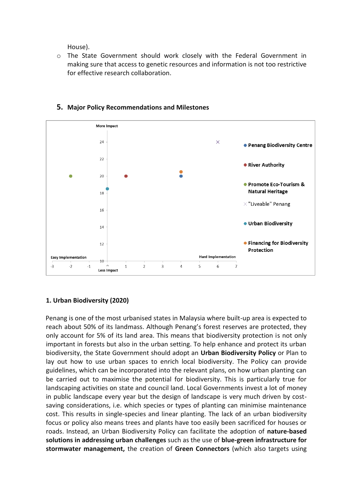House).

o The State Government should work closely with the Federal Government in making sure that access to genetic resources and information is not too restrictive for effective research collaboration.



# **5. Major Policy Recommendations and Milestones**

# **1. Urban Biodiversity (2020)**

Penang is one of the most urbanised states in Malaysia where built-up area is expected to reach about 50% of its landmass. Although Penang's forest reserves are protected, they only account for 5% of its land area. This means that biodiversity protection is not only important in forests but also in the urban setting. To help enhance and protect its urban biodiversity, the State Government should adopt an **Urban Biodiversity Policy** or Plan to lay out how to use urban spaces to enrich local biodiversity. The Policy can provide guidelines, which can be incorporated into the relevant plans, on how urban planting can be carried out to maximise the potential for biodiversity. This is particularly true for landscaping activities on state and council land. Local Governments invest a lot of money in public landscape every year but the design of landscape is very much driven by costsaving considerations, i.e. which species or types of planting can minimise maintenance cost. This results in single-species and linear planting. The lack of an urban biodiversity focus or policy also means trees and plants have too easily been sacrificed for houses or roads. Instead, an Urban Biodiversity Policy can facilitate the adoption of **nature-based solutions in addressing urban challenges** such as the use of **blue-green infrastructure for stormwater management,** the creation of **Green Connectors** (which also targets using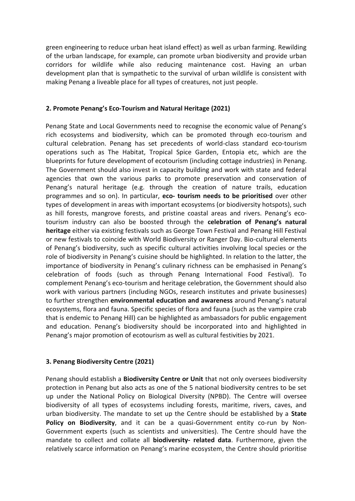green engineering to reduce urban heat island effect) as well as urban farming. Rewilding of the urban landscape, for example, can promote urban biodiversity and provide urban corridors for wildlife while also reducing maintenance cost. Having an urban development plan that is sympathetic to the survival of urban wildlife is consistent with making Penang a liveable place for all types of creatures, not just people.

# **2. Promote Penang's Eco-Tourism and Natural Heritage (2021)**

Penang State and Local Governments need to recognise the economic value of Penang's rich ecosystems and biodiversity, which can be promoted through eco-tourism and cultural celebration. Penang has set precedents of world-class standard eco-tourism operations such as The Habitat, Tropical Spice Garden, Entopia etc, which are the blueprints for future development of ecotourism (including cottage industries) in Penang. The Government should also invest in capacity building and work with state and federal agencies that own the various parks to promote preservation and conservation of Penang's natural heritage (e.g. through the creation of nature trails, education programmes and so on). In particular, **eco- tourism needs to be prioritised** over other types of development in areas with important ecosystems (or biodiversity hotspots), such as hill forests, mangrove forests, and pristine coastal areas and rivers. Penang's ecotourism industry can also be boosted through the **celebration of Penang's natural heritage** either via existing festivals such as George Town Festival and Penang Hill Festival or new festivals to coincide with World Biodiversity or Ranger Day. Bio-cultural elements of Penang's biodiversity, such as specific cultural activities involving local species or the role of biodiversity in Penang's cuisine should be highlighted. In relation to the latter, the importance of biodiversity in Penang's culinary richness can be emphasised in Penang's celebration of foods (such as through Penang International Food Festival). To complement Penang's eco-tourism and heritage celebration, the Government should also work with various partners (including NGOs, research institutes and private businesses) to further strengthen **environmental education and awareness** around Penang's natural ecosystems, flora and fauna. Specific species of flora and fauna (such as the vampire crab that is endemic to Penang Hill) can be highlighted as ambassadors for public engagement and education. Penang's biodiversity should be incorporated into and highlighted in Penang's major promotion of ecotourism as well as cultural festivities by 2021.

#### **3. Penang Biodiversity Centre (2021)**

Penang should establish a **Biodiversity Centre or Unit** that not only oversees biodiversity protection in Penang but also acts as one of the 5 national biodiversity centres to be set up under the National Policy on Biological Diversity (NPBD). The Centre will oversee biodiversity of all types of ecosystems including forests, maritime, rivers, caves, and urban biodiversity. The mandate to set up the Centre should be established by a **State Policy on Biodiversity**, and it can be a quasi-Government entity co-run by Non-Government experts (such as scientists and universities). The Centre should have the mandate to collect and collate all **biodiversity- related data**. Furthermore, given the relatively scarce information on Penang's marine ecosystem, the Centre should prioritise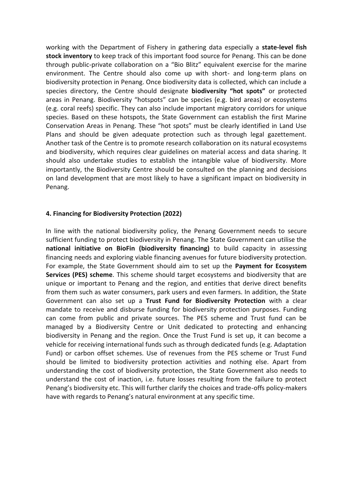working with the Department of Fishery in gathering data especially a **state-level fish stock inventory** to keep track of this important food source for Penang. This can be done through public-private collaboration on a "Bio Blitz" equivalent exercise for the marine environment. The Centre should also come up with short- and long-term plans on biodiversity protection in Penang. Once biodiversity data is collected, which can include a species directory, the Centre should designate **biodiversity "hot spots"** or protected areas in Penang. Biodiversity "hotspots" can be species (e.g. bird areas) or ecosystems (e.g. coral reefs) specific. They can also include important migratory corridors for unique species. Based on these hotspots, the State Government can establish the first Marine Conservation Areas in Penang. These "hot spots" must be clearly identified in Land Use Plans and should be given adequate protection such as through legal gazettement. Another task of the Centre is to promote research collaboration on its natural ecosystems and biodiversity, which requires clear guidelines on material access and data sharing. It should also undertake studies to establish the intangible value of biodiversity. More importantly, the Biodiversity Centre should be consulted on the planning and decisions on land development that are most likely to have a significant impact on biodiversity in Penang.

#### **4. Financing for Biodiversity Protection (2022)**

In line with the national biodiversity policy, the Penang Government needs to secure sufficient funding to protect biodiversity in Penang. The State Government can utilise the **national initiative on BioFin (biodiversity financing)** to build capacity in assessing financing needs and exploring viable financing avenues for future biodiversity protection. For example, the State Government should aim to set up the **Payment for Ecosystem Services (PES) scheme**. This scheme should target ecosystems and biodiversity that are unique or important to Penang and the region, and entities that derive direct benefits from them such as water consumers, park users and even farmers. In addition, the State Government can also set up a **Trust Fund for Biodiversity Protection** with a clear mandate to receive and disburse funding for biodiversity protection purposes. Funding can come from public and private sources. The PES scheme and Trust fund can be managed by a Biodiversity Centre or Unit dedicated to protecting and enhancing biodiversity in Penang and the region. Once the Trust Fund is set up, it can become a vehicle for receiving international funds such as through dedicated funds (e.g. Adaptation Fund) or carbon offset schemes. Use of revenues from the PES scheme or Trust Fund should be limited to biodiversity protection activities and nothing else. Apart from understanding the cost of biodiversity protection, the State Government also needs to understand the cost of inaction, i.e. future losses resulting from the failure to protect Penang's biodiversity etc. This will further clarify the choices and trade-offs policy-makers have with regards to Penang's natural environment at any specific time.